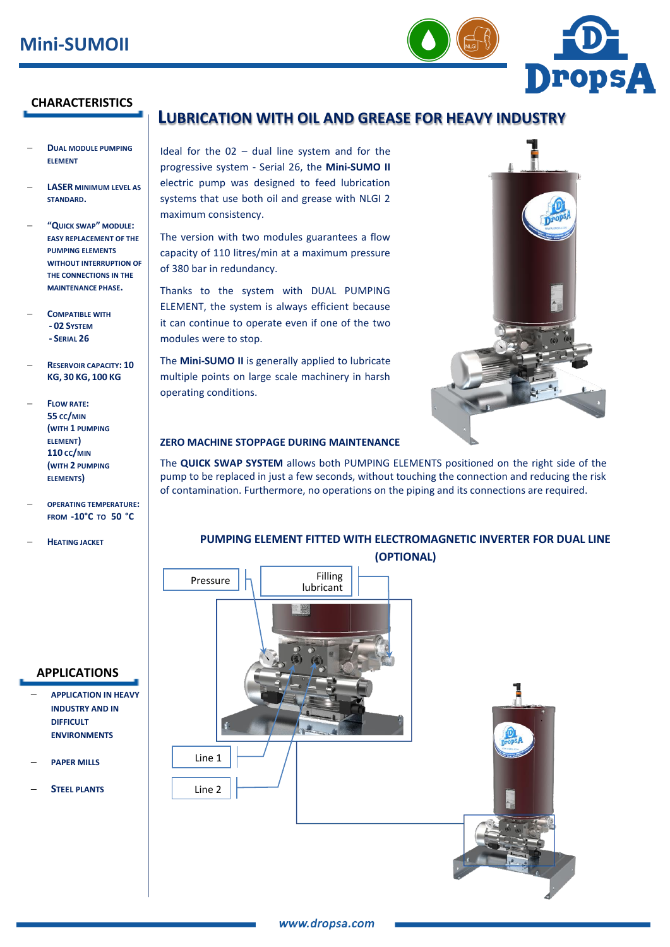

### **CHARACTERISTICS**

- **DUAL MODULE PUMPING ELEMENT**
- **LASER MINIMUM LEVEL AS STANDARD.**
- **"QUICK SWAP" MODULE: EASY REPLACEMENT OF THE PUMPING ELEMENTS WITHOUT INTERRUPTION OF THE CONNECTIONS IN THE MAINTENANCE PHASE.**
- **COMPATIBLE WITH - 02 SYSTEM - SERIAL 26**
- **RESERVOIR CAPACITY: 10 KG, 30 KG, 100 KG**
- **FLOW RATE: 55 CC/MIN (WITH 1 PUMPING ELEMENT) 110 CC/MIN (WITH 2 PUMPING ELEMENTS)**
- **OPERATING TEMPERATURE: FROM -10°C TO 50 °C**
- **HEATING JACKET**

#### **APPLICATIONS**

- **APPLICATION IN HEAVY INDUSTRY AND IN DIFFICULT ENVIRONMENTS**
- **PAPER MILLS**
- **STEEL PLANTS**

# **LUBRICATION WITH OIL AND GREASE FOR HEAVY INDUSTRY**

Ideal for the 02 – dual line system and for the progressive system - Serial 26, the **Mini-SUMO II** electric pump was designed to feed lubrication systems that use both oil and grease with NLGI 2 maximum consistency.

The version with two modules guarantees a flow capacity of 110 litres/min at a maximum pressure of 380 bar in redundancy.

Thanks to the system with DUAL PUMPING ELEMENT, the system is always efficient because it can continue to operate even if one of the two modules were to stop.

The **Mini-SUMO II** is generally applied to lubricate multiple points on large scale machinery in harsh operating conditions.



#### **ZERO MACHINE STOPPAGE DURING MAINTENANCE**

The **QUICK SWAP SYSTEM** allows both PUMPING ELEMENTS positioned on the right side of the pump to be replaced in just a few seconds, without touching the connection and reducing the risk of contamination. Furthermore, no operations on the piping and its connections are required.

# **PUMPING ELEMENT FITTED WITH ELECTROMAGNETIC INVERTER FOR DUAL LINE (OPTIONAL)**

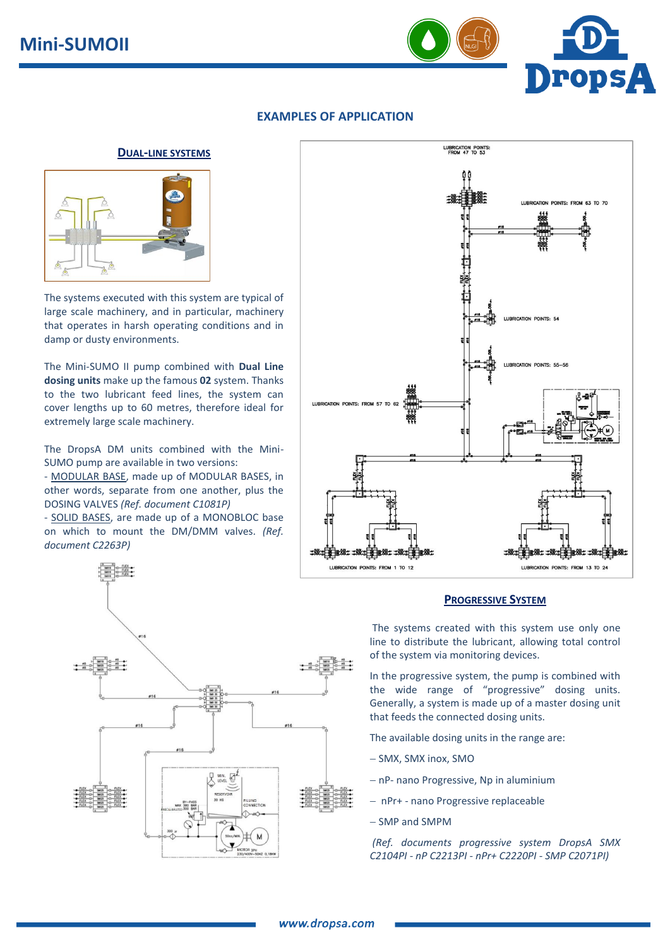

## **EXAMPLES OF APPLICATION**

### **DUAL-LINE SYSTEMS**



The systems executed with this system are typical of large scale machinery, and in particular, machinery that operates in harsh operating conditions and in damp or dusty environments.

The Mini-SUMO II pump combined with **Dual Line dosing units** make up the famous **02** system. Thanks to the two lubricant feed lines, the system can cover lengths up to 60 metres, therefore ideal for extremely large scale machinery.

The DropsA DM units combined with the Mini-SUMO pump are available in two versions:

- MODULAR BASE, made up of MODULAR BASES, in other words, separate from one another, plus the DOSING VALVES *(Ref. document C1081P)*

- SOLID BASES, are made up of a MONOBLOC base on which to mount the DM/DMM valves. *(Ref. document C2263P)*





#### **PROGRESSIVE SYSTEM**

The systems created with this system use only one line to distribute the lubricant, allowing total control of the system via monitoring devices.

In the progressive system, the pump is combined with the wide range of "progressive" dosing units. Generally, a system is made up of a master dosing unit that feeds the connected dosing units.

The available dosing units in the range are:

- SMX, SMX inox, SMO
- nP- nano Progressive, Np in aluminium
- nPr+ nano Progressive replaceable
- SMP and SMPM

*(Ref. documents progressive system DropsA SMX C2104PI - nP C2213PI - nPr+ C2220PI - SMP C2071PI)*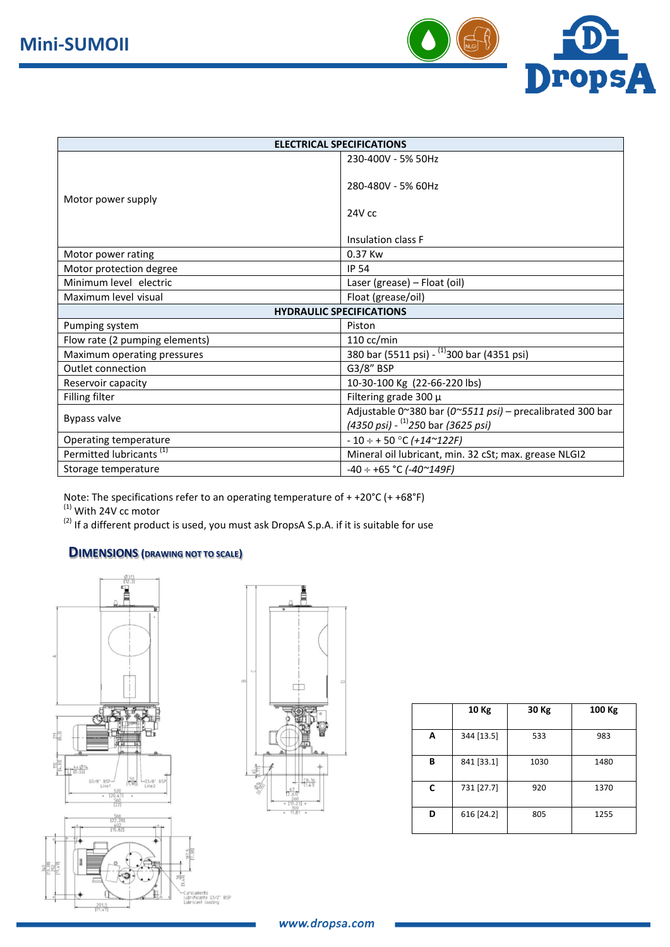

| <b>ELECTRICAL SPECIFICATIONS</b>    |                                                           |  |  |  |  |  |  |
|-------------------------------------|-----------------------------------------------------------|--|--|--|--|--|--|
|                                     | 230-400V - 5% 50Hz                                        |  |  |  |  |  |  |
|                                     |                                                           |  |  |  |  |  |  |
|                                     | 280-480V - 5% 60Hz                                        |  |  |  |  |  |  |
| Motor power supply                  |                                                           |  |  |  |  |  |  |
|                                     | $24V$ cc                                                  |  |  |  |  |  |  |
|                                     | Insulation class F                                        |  |  |  |  |  |  |
|                                     |                                                           |  |  |  |  |  |  |
| Motor power rating                  | 0.37 Kw                                                   |  |  |  |  |  |  |
| Motor protection degree             | <b>IP 54</b>                                              |  |  |  |  |  |  |
| Minimum level electric              | Laser (grease) - Float (oil)                              |  |  |  |  |  |  |
| Maximum level visual                | Float (grease/oil)                                        |  |  |  |  |  |  |
| <b>HYDRAULIC SPECIFICATIONS</b>     |                                                           |  |  |  |  |  |  |
| Pumping system                      | Piston                                                    |  |  |  |  |  |  |
| Flow rate (2 pumping elements)      | $110 \text{ cc/min}$                                      |  |  |  |  |  |  |
| Maximum operating pressures         | 380 bar (5511 psi) - <sup>(1)</sup> 300 bar (4351 psi)    |  |  |  |  |  |  |
| Outlet connection                   | G3/8" BSP                                                 |  |  |  |  |  |  |
| Reservoir capacity                  | 10-30-100 Kg (22-66-220 lbs)                              |  |  |  |  |  |  |
| Filling filter                      | Filtering grade 300 $\mu$                                 |  |  |  |  |  |  |
|                                     | Adjustable 0~380 bar (0~5511 psi) - precalibrated 300 bar |  |  |  |  |  |  |
| Bypass valve                        | $(4350 \text{ psi})$ - $^{(1)}$ 250 bar (3625 psi)        |  |  |  |  |  |  |
| Operating temperature               | $-10 \div +50$ °C (+14~122F)                              |  |  |  |  |  |  |
| Permitted lubricants <sup>(1)</sup> | Mineral oil lubricant, min. 32 cSt; max. grease NLGI2     |  |  |  |  |  |  |
| Storage temperature                 | $-40 \div +65$ °C ( $-40$ $^{\sim}$ 149F)                 |  |  |  |  |  |  |

Note: The specifications refer to an operating temperature of + +20°C (+ +68°F)  $<sup>(1)</sup>$  With 24V cc motor</sup>

(2) If a different product is used, you must ask DropsA S.p.A. if it is suitable for use

# **DIMENSIONS (DRAWING NOT TO SCALE)**





|   | 10 Kg      | 30 Kg | 100 Kg |
|---|------------|-------|--------|
| А | 344 [13.5] | 533   | 983    |
| B | 841 [33.1] | 1030  | 1480   |
| C | 731 [27.7] | 920   | 1370   |
| D | 616 [24.2] | 805   | 1255   |